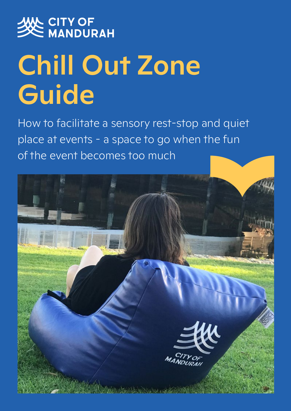

# Chill Out Zone Guide

How to facilitate a sensory rest-stop and quiet place at events - a space to go when the fun of the event becomes too much

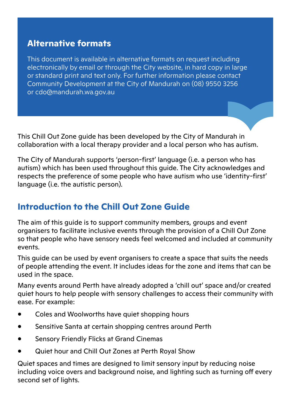## **Alternative formats**

This document is available in alternative formats on request including electronically by email or through the City website, in hard copy in large or standard print and text only. For further information please contact Community Development at the City of Mandurah on (08) 9550 3256 or cdo@mandurah.wa.gov.au

This Chill Out Zone guide has been developed by the City of Mandurah in collaboration with a local therapy provider and a local person who has autism.

The City of Mandurah supports 'person-first' language (i.e. a person who has autism) which has been used throughout this guide. The City acknowledges and respects the preference of some people who have autism who use 'identity-first' language (i.e. the autistic person).

# **Introduction to the Chill Out Zone Guide**

The aim of this guide is to support community members, groups and event organisers to facilitate inclusive events through the provision of a Chill Out Zone so that people who have sensory needs feel welcomed and included at community events.

This guide can be used by event organisers to create a space that suits the needs of people attending the event. It includes ideas for the zone and items that can be used in the space.

Many events around Perth have already adopted a 'chill out' space and/or created quiet hours to help people with sensory challenges to access their community with ease. For example:

- Coles and Woolworths have quiet shopping hours
- Sensitive Santa at certain shopping centres around Perth
- Sensory Friendly Flicks at Grand Cinemas
- Quiet hour and Chill Out Zones at Perth Royal Show

Quiet spaces and times are designed to limit sensory input by reducing noise including voice overs and background noise, and lighting such as turning off every second set of lights.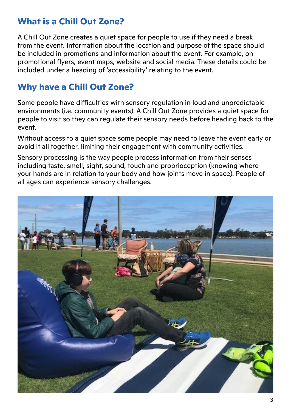# **What is a Chill Out Zone?**

A Chill Out Zone creates a quiet space for people to use if they need a break from the event. Information about the location and purpose of the space should be included in promotions and information about the event. For example, on promotional flyers, event maps, website and social media. These details could be included under a heading of 'accessibility' relating to the event.

# **Why have a Chill Out Zone?**

Some people have difficulties with sensory regulation in loud and unpredictable environments (i.e. community events). A Chill Out Zone provides a quiet space for people to visit so they can regulate their sensory needs before heading back to the event.

Without access to a quiet space some people may need to leave the event early or avoid it all together, limiting their engagement with community activities.

Sensory processing is the way people process information from their senses including taste, smell, sight, sound, touch and proprioception (knowing where your hands are in relation to your body and how joints move in space). People of all ages can experience sensory challenges.

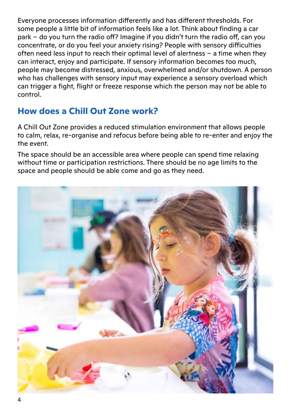Everyone processes information differently and has different thresholds. For some people a little bit of information feels like a lot. Think about finding a car park – do you turn the radio off? Imagine if you didn't turn the radio off, can you concentrate, or do you feel your anxiety rising? People with sensory difficulties often need less input to reach their optimal level of alertness – a time when they can interact, enjoy and participate. If sensory information becomes too much, people may become distressed, anxious, overwhelmed and/or shutdown. A person who has challenges with sensory input may experience a sensory overload which can trigger a fight, flight or freeze response which the person may not be able to control.

# **How does a Chill Out Zone work?**

A Chill Out Zone provides a reduced stimulation environment that allows people to calm, relax, re-organise and refocus before being able to re-enter and enjoy the the event.

The space should be an accessible area where people can spend time relaxing without time or participation restrictions. There should be no age limits to the space and people should be able come and go as they need.

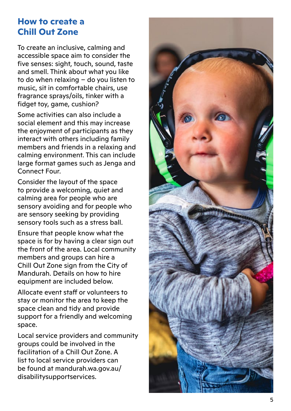## **How to create a Chill Out Zone**

To create an inclusive, calming and accessible space aim to consider the five senses: sight, touch, sound, taste and smell. Think about what you like to do when relaxing – do you listen to music, sit in comfortable chairs, use fragrance sprays/oils, tinker with a fidget toy, game, cushion?

Some activities can also include a social element and this may increase the enjoyment of participants as they interact with others including family members and friends in a relaxing and calming environment. This can include large format games such as Jenga and Connect Four.

Consider the layout of the space to provide a welcoming, quiet and calming area for people who are sensory avoiding and for people who are sensory seeking by providing sensory tools such as a stress ball.

Ensure that people know what the space is for by having a clear sign out the front of the area. Local community members and groups can hire a Chill Out Zone sign from the City of Mandurah. Details on how to hire equipment are included below.

Allocate event staff or volunteers to stay or monitor the area to keep the space clean and tidy and provide support for a friendly and welcoming space.

Local service providers and community groups could be involved in the facilitation of a Chill Out Zone. A list to local service providers can be found at mandurah.wa.gov.au/ disabilitysupportservices.

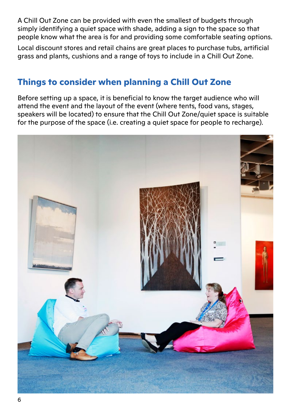A Chill Out Zone can be provided with even the smallest of budgets through simply identifying a quiet space with shade, adding a sign to the space so that people know what the area is for and providing some comfortable seating options.

Local discount stores and retail chains are great places to purchase tubs, artificial grass and plants, cushions and a range of toys to include in a Chill Out Zone.

## **Things to consider when planning a Chill Out Zone**

Before setting up a space, it is beneficial to know the target audience who will attend the event and the layout of the event (where tents, food vans, stages, speakers will be located) to ensure that the Chill Out Zone/quiet space is suitable for the purpose of the space (i.e. creating a quiet space for people to recharge).

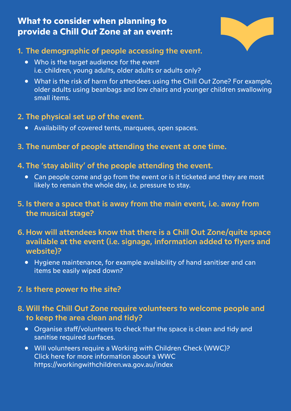## **What to consider when planning to provide a Chill Out Zone at an event:**



## 1. The demographic of people accessing the event.

- Who is the target audience for the event i.e. children, young adults, older adults or adults only?
- What is the risk of harm for attendees using the Chill Out Zone? For example, older adults using beanbags and low chairs and younger children swallowing small items.

## 2. The physical set up of the event.

- Availability of covered tents, marquees, open spaces.
- 3. The number of people attending the event at one time.

#### 4. The 'stay ability' of the people attending the event.

- Can people come and go from the event or is it ticketed and they are most likely to remain the whole day, i.e. pressure to stay.
- 5. Is there a space that is away from the main event, i.e. away from the musical stage?
- 6. How will attendees know that there is a Chill Out Zone/quite space available at the event (i.e. signage, information added to flyers and website)?
	- Hygiene maintenance, for example availability of hand sanitiser and can items be easily wiped down?

#### 7. Is there power to the site?

## 8. Will the Chill Out Zone require volunteers to welcome people and to keep the area clean and tidy?

- Organise staff/volunteers to check that the space is clean and tidy and sanitise required surfaces.
- Will volunteers require a Working with Children Check (WWC)? Click here for more information about a WWC https://workingwithchildren.wa.gov.au/index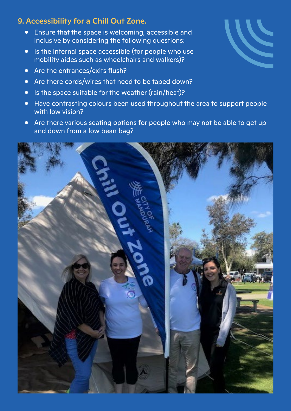#### 9. Accessibility for a Chill Out Zone.

- Ensure that the space is welcoming, accessible and inclusive by considering the following questions:
- Is the internal space accessible (for people who use mobility aides such as wheelchairs and walkers)?
- Are the entrances/exits flush?
- Are there cords/wires that need to be taped down?
- Is the space suitable for the weather (rain/heat)?
- Have contrasting colours been used throughout the area to support people with low vision?
- Are there various seating options for people who may not be able to get up and down from a low bean bag?



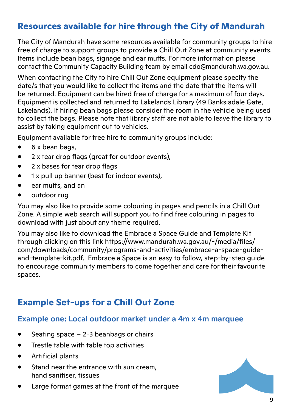## **Resources available for hire through the City of Mandurah**

The City of Mandurah have some resources available for community groups to hire free of charge to support groups to provide a Chill Out Zone at community events. Items include bean bags, signage and ear muffs. For more information please contact the Community Capacity Building team by email cdo@mandurah.wa.gov.au.

When contacting the City to hire Chill Out Zone equipment please specify the date/s that you would like to collect the items and the date that the items will be returned. Equipment can be hired free of charge for a maximum of four days. Equipment is collected and returned to Lakelands Library (49 Banksiadale Gate, Lakelands). If hiring bean bags please consider the room in the vehicle being used to collect the bags. Please note that library staff are not able to leave the library to assist by taking equipment out to vehicles.

Equipment available for free hire to community groups include:

- 6 x bean bags,
- 2 x tear drop flags (great for outdoor events),
- 2 x bases for tear drop flags
- 1 x pull up banner (best for indoor events),
- ear muffs, and an
- outdoor rug

You may also like to provide some colouring in pages and pencils in a Chill Out Zone. A simple web search will support you to find free colouring in pages to download with just about any theme required.

You may also like to download the Embrace a Space Guide and Template Kit through clicking on this link https://www.mandurah.wa.gov.au/-/media/files/ com/downloads/community/programs-and-activities/embrace-a-space-guideand-template-kit.pdf. Embrace a Space is an easy to follow, step-by-step guide to encourage community members to come together and care for their favourite spaces.

# **Example Set-ups for a Chill Out Zone**

#### Example one: Local outdoor market under a 4m x 4m marquee

- Seating space  $-2-3$  beanbags or chairs
- Trestle table with table top activities
- Artificial plants
- Stand near the entrance with sun cream, hand sanitiser, tissues
- Large format games at the front of the marquee

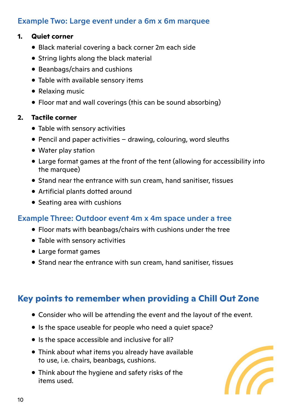## Example Two: Large event under a 6m x 6m marquee

#### **1. Quiet corner**

- Black material covering a back corner 2m each side
- String lights along the black material
- Beanbags/chairs and cushions
- Table with available sensory items
- Relaxing music
- Floor mat and wall coverings (this can be sound absorbing)

#### **2. Tactile corner**

- Table with sensory activities
- Pencil and paper activities drawing, colouring, word sleuths
- Water play station
- Large format games at the front of the tent (allowing for accessibility into the marquee)
- Stand near the entrance with sun cream, hand sanitiser, tissues
- Artificial plants dotted around
- Seating area with cushions

## Example Three: Outdoor event 4m x 4m space under a tree

- Floor mats with beanbags/chairs with cushions under the tree
- Table with sensory activities
- Large format games
- Stand near the entrance with sun cream, hand sanitiser, tissues

# **Key points to remember when providing a Chill Out Zone**

- Consider who will be attending the event and the layout of the event.
- Is the space useable for people who need a quiet space?
- Is the space accessible and inclusive for all?
- Think about what items you already have available to use, i.e. chairs, beanbags, cushions.
- Think about the hygiene and safety risks of the items used.

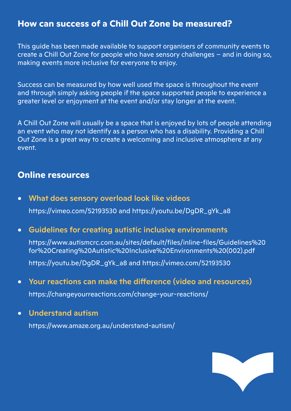## **How can success of a Chill Out Zone be measured?**

This guide has been made available to support organisers of community events to create a Chill Out Zone for people who have sensory challenges – and in doing so, making events more inclusive for everyone to enjoy.

Success can be measured by how well used the space is throughout the event and through simply asking people if the space supported people to experience a greater level or enjoyment at the event and/or stay longer at the event.

A Chill Out Zone will usually be a space that is enjoyed by lots of people attending an event who may not identify as a person who has a disability. Providing a Chill Out Zone is a great way to create a welcoming and inclusive atmosphere at any event.

#### **Online resources**

• What does sensory overload look like videos https://vimeo.com/52193530 and https://youtu.be/DgDR\_gYk\_a8

#### • Guidelines for creating autistic inclusive environments

https://www.autismcrc.com.au/sites/default/files/inline-files/Guidelines%20 for%20Creating%20Autistic%20Inclusive%20Environments%20(002).pdf

https://youtu.be/DgDR\_gYk\_a8 and https://vimeo.com/52193530

- Your reactions can make the difference (video and resources) https://changeyourreactions.com/change-your-reactions/
- Understand autism

https://www.amaze.org.au/understand-autism/